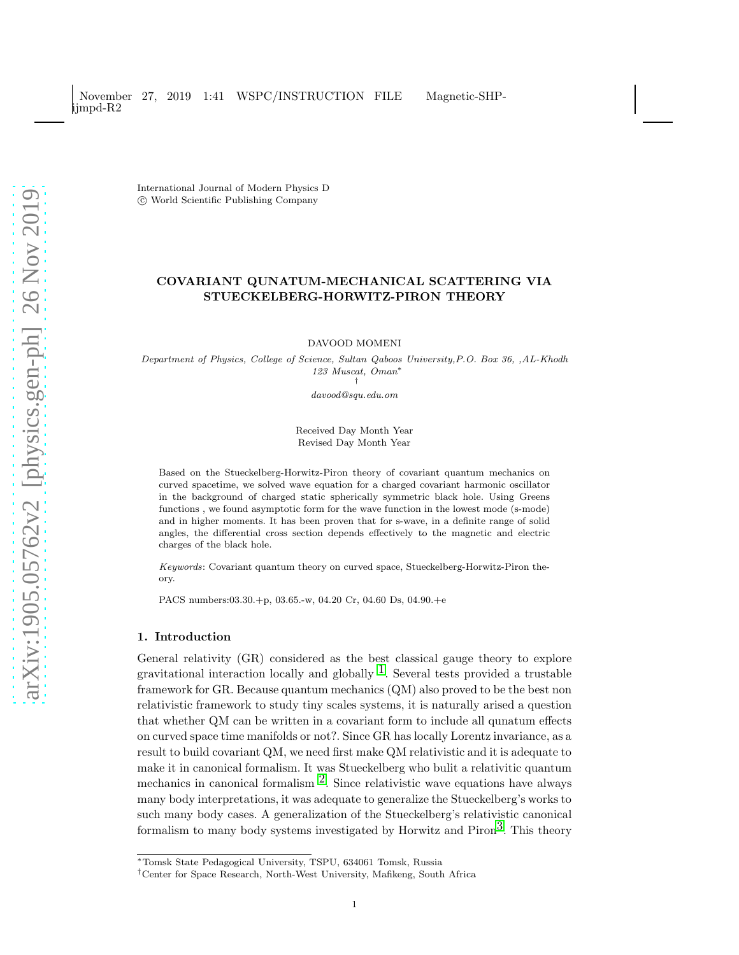International Journal of Modern Physics D c World Scientific Publishing Company

## COVARIANT QUNATUM-MECHANICAL SCATTERING VIA STUECKELBERG-HORWITZ-PIRON THEORY

DAVOOD MOMENI

Department of Physics, College of Science, Sultan Qaboos University,P.O. Box 36, ,AL-Khodh 123 Muscat, Oman<sup>∗</sup> †

davood@squ.edu.om

#### Received Day Month Year Revised Day Month Year

Based on the Stueckelberg-Horwitz-Piron theory of covariant quantum mechanics on curved spacetime, we solved wave equation for a charged covariant harmonic oscillator in the background of charged static spherically symmetric black hole. Using Greens functions , we found asymptotic form for the wave function in the lowest mode (s-mode) and in higher moments. It has been proven that for s-wave, in a definite range of solid angles, the differential cross section depends effectively to the magnetic and electric charges of the black hole.

Keywords: Covariant quantum theory on curved space, Stueckelberg-Horwitz-Piron theory.

PACS numbers:03.30.+p, 03.65.-w, 04.20 Cr, 04.60 Ds, 04.90.+e

## 1. Introduction

General relativity (GR) considered as the best classical gauge theory to explore gravitational interaction locally and globally  $^1$ . Several tests provided a trustable framework for GR. Because quantum mechanics (QM) also proved to be the best non relativistic framework to study tiny scales systems, it is naturally arised a question that whether QM can be written in a covariant form to include all qunatum effects on curved space time manifolds or not?. Since GR has locally Lorentz invariance, as a result to build covariant QM, we need first make QM relativistic and it is adequate to make it in canonical formalism. It was Stueckelberg who bulit a relativitic quantum mechanics in canonical formalism  $^2$ . Since relativistic wave equations have always many body interpretations, it was adequate to generalize the Stueckelberg's works to such many body cases. A generalization of the Stueckelberg's relativistic canonical formalism to many body systems investigated by Horwitz and Piron<sup>3</sup>. This theory

<sup>∗</sup>Tomsk State Pedagogical University, TSPU, 634061 Tomsk, Russia

<sup>†</sup>Center for Space Research, North-West University, Mafikeng, South Africa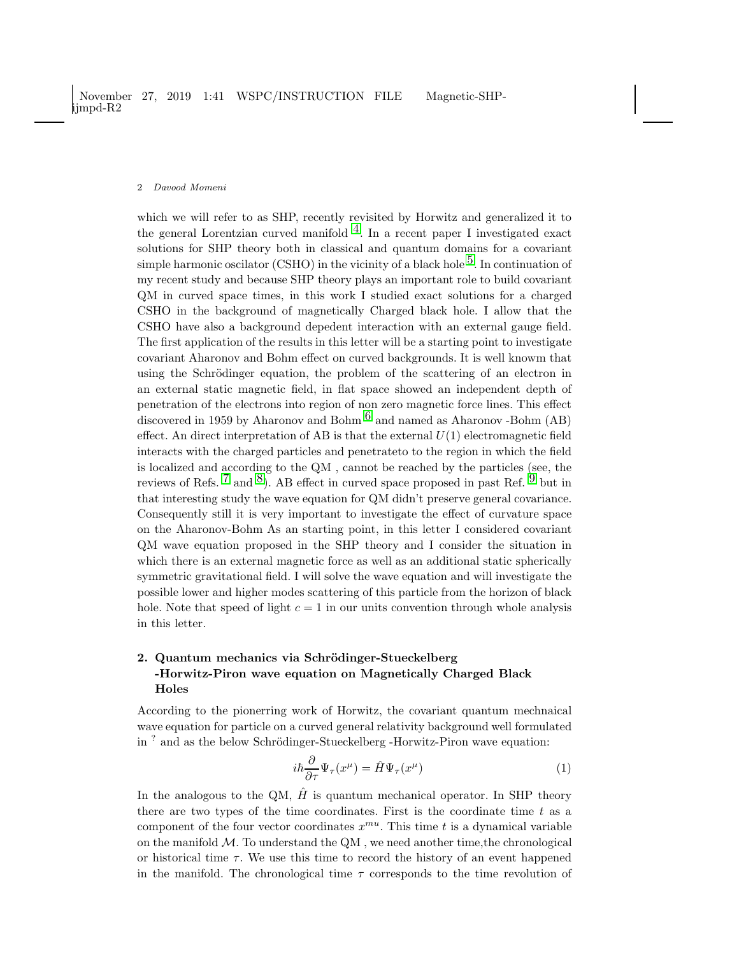which we will refer to as SHP, recently revisited by Horwitz and generalized it to the general Lorentzian curved manifold  $4$ . In a recent paper I investigated exact solutions for SHP theory both in classical and quantum domains for a covariant simple harmonic oscilator (CSHO) in the vicinity of a black hole  $5$ . In continuation of my recent study and because SHP theory plays an important role to build covariant QM in curved space times, in this work I studied exact solutions for a charged CSHO in the background of magnetically Charged black hole. I allow that the CSHO have also a background depedent interaction with an external gauge field. The first application of the results in this letter will be a starting point to investigate covariant Aharonov and Bohm effect on curved backgrounds. It is well knowm that using the Schrödinger equation, the problem of the scattering of an electron in an external static magnetic field, in flat space showed an independent depth of penetration of the electrons into region of non zero magnetic force lines. This effect discovered in 1959 by Aharonov and Bohm  $^6$  $^6$  and named as Aharonov -Bohm (AB) effect. An direct interpretation of AB is that the external  $U(1)$  electromagnetic field interacts with the charged particles and penetrateto to the region in which the field is localized and according to the QM , cannot be reached by the particles (see, the reviews of Refs. <sup>[7](#page-9-6)</sup> and <sup>8</sup>). AB effect in curved space proposed in past Ref. <sup>[9](#page-9-8)</sup> but in that interesting study the wave equation for QM didn't preserve general covariance. Consequently still it is very important to investigate the effect of curvature space on the Aharonov-Bohm As an starting point, in this letter I considered covariant QM wave equation proposed in the SHP theory and I consider the situation in which there is an external magnetic force as well as an additional static spherically symmetric gravitational field. I will solve the wave equation and will investigate the possible lower and higher modes scattering of this particle from the horizon of black hole. Note that speed of light  $c = 1$  in our units convention through whole analysis in this letter.

# 2. Quantum mechanics via Schrödinger-Stueckelberg -Horwitz-Piron wave equation on Magnetically Charged Black Holes

According to the pionerring work of Horwitz, the covariant quantum mechnaical wave equation for particle on a curved general relativity background well formulated in<sup>?</sup> and as the below Schrödinger-Stueckelberg -Horwitz-Piron wave equation:

<span id="page-1-0"></span>
$$
i\hbar \frac{\partial}{\partial \tau} \Psi_{\tau}(x^{\mu}) = \hat{H} \Psi_{\tau}(x^{\mu}) \tag{1}
$$

In the analogous to the QM,  $\hat{H}$  is quantum mechanical operator. In SHP theory there are two types of the time coordinates. First is the coordinate time  $t$  as a component of the four vector coordinates  $x^{mu}$ . This time t is a dynamical variable on the manifold  $M$ . To understand the QM, we need another time, the chronological or historical time  $\tau$ . We use this time to record the history of an event happened in the manifold. The chronological time  $\tau$  corresponds to the time revolution of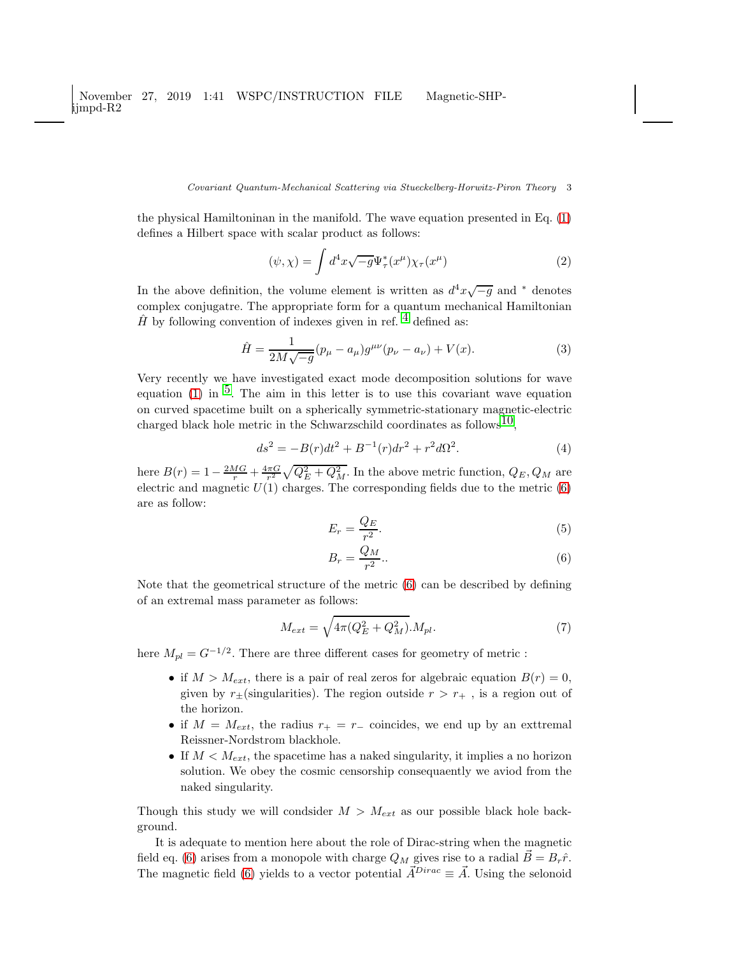#### Covariant Quantum-Mechanical Scattering via Stueckelberg-Horwitz-Piron Theory 3

the physical Hamiltoninan in the manifold. The wave equation presented in Eq. [\(1\)](#page-1-0) defines a Hilbert space with scalar product as follows:

<span id="page-2-2"></span>
$$
(\psi, \chi) = \int d^4x \sqrt{-g} \Psi_{\tau}^*(x^{\mu}) \chi_{\tau}(x^{\mu}) \tag{2}
$$

In the above definition, the volume element is written as  $d^4x\sqrt{-g}$  and <sup>\*</sup> denotes complex conjugatre. The appropriate form for a quantum mechanical Hamiltonian  $\hat{H}$  by following convention of indexes given in ref. <sup>[4](#page-9-3)</sup> defined as:

<span id="page-2-1"></span>
$$
\hat{H} = \frac{1}{2M\sqrt{-g}}(p_{\mu} - a_{\mu})g^{\mu\nu}(p_{\nu} - a_{\nu}) + V(x). \tag{3}
$$

Very recently we have investigated exact mode decomposition solutions for wave equation [\(1\)](#page-1-0) in  $5$ . The aim in this letter is to use this covariant wave equation on curved spacetime built on a spherically symmetric-stationary magnetic-electric charged black hole metric in the Schwarzschild coordinates as follows<sup>10</sup>.

$$
ds^{2} = -B(r)dt^{2} + B^{-1}(r)dr^{2} + r^{2}d\Omega^{2}.
$$
 (4)

here  $B(r) = 1 - \frac{2MG}{r} + \frac{4\pi G}{r^2} \sqrt{Q_E^2 + Q_M^2}$ . In the above metric function,  $Q_E, Q_M$  are electric and magnetic  $U(1)$  charges. The corresponding fields due to the metric  $(6)$ are as follow:

<span id="page-2-0"></span>
$$
E_r = \frac{Q_E}{r^2}.\tag{5}
$$

$$
B_r = \frac{Q_M}{r^2} \tag{6}
$$

Note that the geometrical structure of the metric [\(6\)](#page-2-0) can be described by defining of an extremal mass parameter as follows:

$$
M_{ext} = \sqrt{4\pi (Q_E^2 + Q_M^2)} \cdot M_{pl}.\tag{7}
$$

here  $M_{pl} = G^{-1/2}$ . There are three different cases for geometry of metric :

- if  $M > M_{ext}$ , there is a pair of real zeros for algebraic equation  $B(r) = 0$ , given by  $r_{\pm}$ (singularities). The region outside  $r > r_{+}$ , is a region out of the horizon.
- if  $M = M_{ext}$ , the radius  $r_{+} = r_{-}$  coincides, we end up by an external Reissner-Nordstrom blackhole.
- If  $M < M_{ext}$ , the spacetime has a naked singularity, it implies a no horizon solution. We obey the cosmic censorship consequaently we aviod from the naked singularity.

Though this study we will condsider  $M > M_{ext}$  as our possible black hole background.

It is adequate to mention here about the role of Dirac-string when the magnetic field eq. [\(6\)](#page-2-0) arises from a monopole with charge  $Q_M$  gives rise to a radial  $\vec{B} = B_r \hat{r}$ . The magnetic field [\(6\)](#page-2-0) yields to a vector potential  $\vec{A}^{Dirac} \equiv \vec{A}$ . Using the selonoid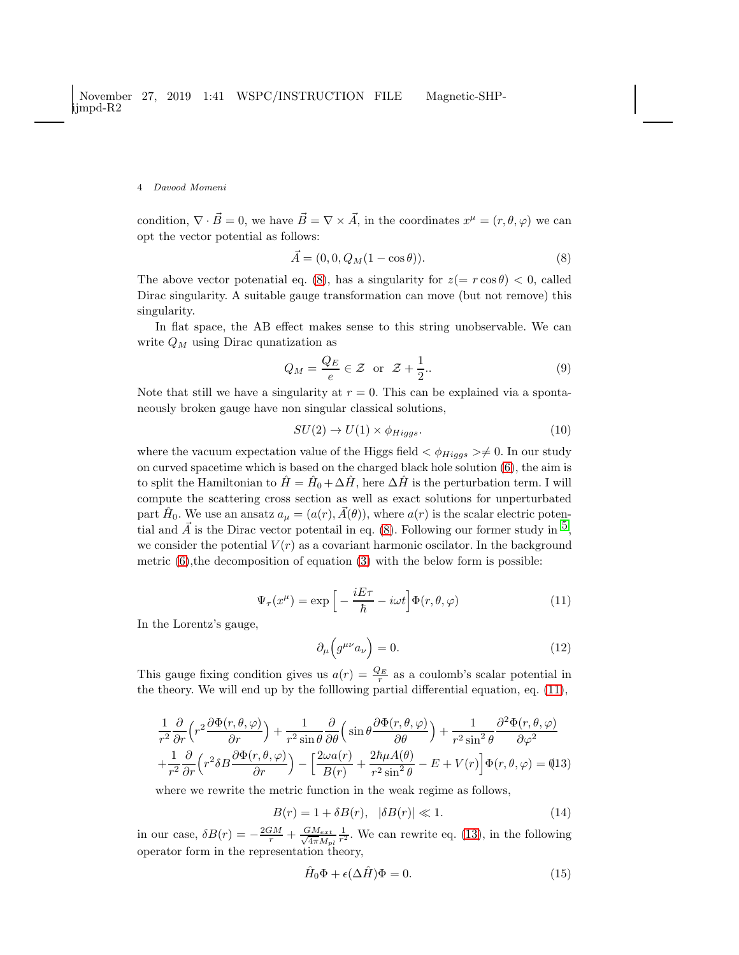condition,  $\nabla \cdot \vec{B} = 0$ , we have  $\vec{B} = \nabla \times \vec{A}$ , in the coordinates  $x^{\mu} = (r, \theta, \varphi)$  we can opt the vector potential as follows:

<span id="page-3-0"></span>
$$
\vec{A} = (0, 0, Q_M(1 - \cos \theta)).
$$
\n(8)

The above vector potenatial eq. [\(8\)](#page-3-0), has a singularity for  $z(=r\cos\theta) < 0$ , called Dirac singularity. A suitable gauge transformation can move (but not remove) this singularity.

In flat space, the AB effect makes sense to this string unobservable. We can write  $Q_M$  using Dirac qunatization as

$$
Q_M = \frac{Q_E}{e} \in \mathcal{Z} \quad \text{or} \quad \mathcal{Z} + \frac{1}{2}.\tag{9}
$$

Note that still we have a singularity at  $r = 0$ . This can be explained via a spontaneously broken gauge have non singular classical solutions,

$$
SU(2) \to U(1) \times \phi_{Higgs}.
$$
\n<sup>(10)</sup>

where the vacuum expectation value of the Higgs field  $\langle \phi_{Higgs} \rangle \neq 0$ . In our study on curved spacetime which is based on the charged black hole solution [\(6\)](#page-2-0), the aim is to split the Hamiltonian to  $\hat{H} = \hat{H}_0 + \Delta \hat{H}$ , here  $\Delta \hat{H}$  is the perturbation term. I will compute the scattering cross section as well as exact solutions for unperturbated part  $\hat{H}_0$ . We use an ansatz  $a_{\mu} = (a(r), \vec{A}(\theta))$ , where  $a(r)$  is the scalar electric potential and  $\vec{A}$  is the Dirac vector potentail in eq. [\(8\)](#page-3-0). Following our former study in  $^5$ , we consider the potential  $V(r)$  as a covariant harmonic oscilator. In the background metric  $(6)$ , the decomposition of equation  $(3)$  with the below form is possible:

<span id="page-3-1"></span>
$$
\Psi_{\tau}(x^{\mu}) = \exp\left[-\frac{iE\tau}{\hbar} - i\omega t\right] \Phi(r,\theta,\varphi) \tag{11}
$$

In the Lorentz's gauge,

$$
\partial_{\mu} \left( g^{\mu \nu} a_{\nu} \right) = 0. \tag{12}
$$

This gauge fixing condition gives us  $a(r) = \frac{Q_E}{r}$  as a coulomb's scalar potential in the theory. We will end up by the folllowing partial differential equation, eq. [\(11\)](#page-3-1),

<span id="page-3-2"></span>
$$
\frac{1}{r^2}\frac{\partial}{\partial r}\left(r^2\frac{\partial\Phi(r,\theta,\varphi)}{\partial r}\right) + \frac{1}{r^2\sin\theta}\frac{\partial}{\partial\theta}\left(\sin\theta\frac{\partial\Phi(r,\theta,\varphi)}{\partial\theta}\right) + \frac{1}{r^2\sin^2\theta}\frac{\partial^2\Phi(r,\theta,\varphi)}{\partial\varphi^2} + \frac{1}{r^2}\frac{\partial}{\partial r}\left(r^2\delta B\frac{\partial\Phi(r,\theta,\varphi)}{\partial r}\right) - \left[\frac{2\omega a(r)}{B(r)} + \frac{2\hbar\mu A(\theta)}{r^2\sin^2\theta} - E + V(r)\right]\Phi(r,\theta,\varphi) = (13)
$$

where we rewrite the metric function in the weak regime as follows,

$$
B(r) = 1 + \delta B(r), \quad |\delta B(r)| \ll 1. \tag{14}
$$

in our case,  $\delta B(r) = -\frac{2GM}{r} + \frac{GM_{ext}}{\sqrt{4\pi}M_v}$  $4\pi M_{pl}$  $\frac{1}{r^2}$ . We can rewrite eq. [\(13\)](#page-3-2), in the following operator form in the representation theory,

<span id="page-3-3"></span>
$$
\hat{H}_0 \Phi + \epsilon (\Delta \hat{H}) \Phi = 0. \tag{15}
$$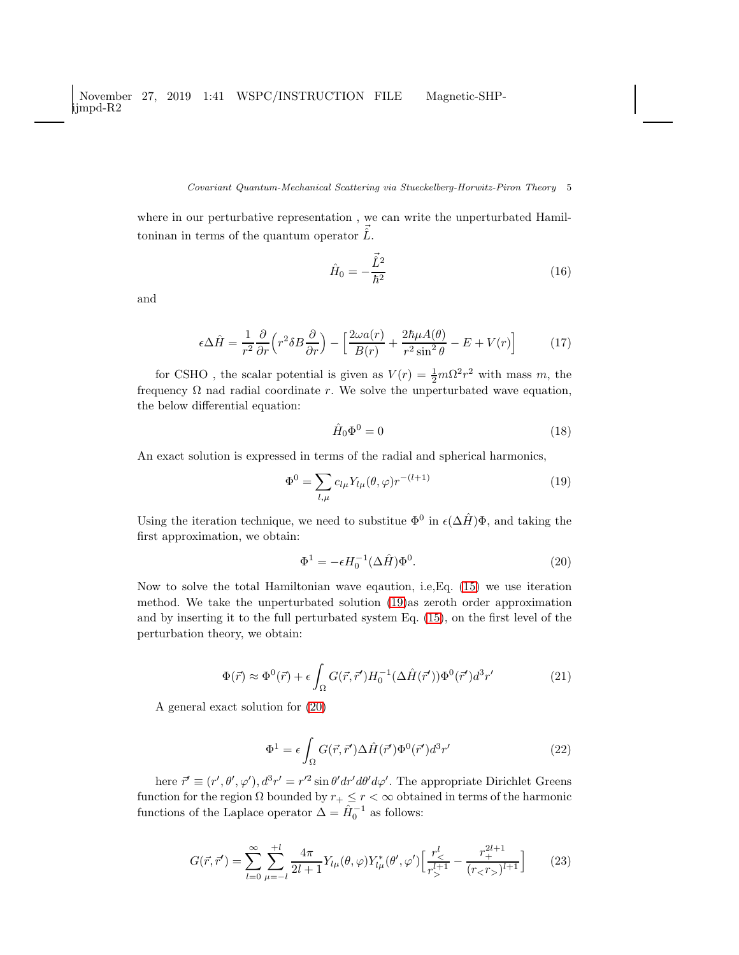### Covariant Quantum-Mechanical Scattering via Stueckelberg-Horwitz-Piron Theory 5

where in our perturbative representation , we can write the unperturbated Hamiltoninan in terms of the quantum operator  $\vec{\hat{L}}$ .

$$
\hat{H}_0 = -\frac{\vec{\hat{L}}^2}{\hbar^2} \tag{16}
$$

and

$$
\epsilon \Delta \hat{H} = \frac{1}{r^2} \frac{\partial}{\partial r} \left( r^2 \delta B \frac{\partial}{\partial r} \right) - \left[ \frac{2\omega a(r)}{B(r)} + \frac{2\hbar\mu A(\theta)}{r^2 \sin^2 \theta} - E + V(r) \right]
$$
(17)

for CSHO, the scalar potential is given as  $V(r) = \frac{1}{2}m\Omega^2 r^2$  with mass m, the frequency  $\Omega$  nad radial coordinate r. We solve the unperturbated wave equation, the below differential equation:

$$
\hat{H}_0 \Phi^0 = 0 \tag{18}
$$

An exact solution is expressed in terms of the radial and spherical harmonics,

<span id="page-4-0"></span>
$$
\Phi^0 = \sum_{l,\mu} c_{l\mu} Y_{l\mu}(\theta, \varphi) r^{-(l+1)}
$$
\n(19)

Using the iteration technique, we need to substitue  $\Phi^0$  in  $\epsilon(\Delta \hat{H})\Phi$ , and taking the first approximation, we obtain:

<span id="page-4-1"></span>
$$
\Phi^1 = -\epsilon H_0^{-1} (\Delta \hat{H}) \Phi^0.
$$
\n(20)

Now to solve the total Hamiltonian wave eqaution, i.e,Eq. [\(15\)](#page-3-3) we use iteration method. We take the unperturbated solution [\(19\)](#page-4-0)as zeroth order approximation and by inserting it to the full perturbated system Eq. [\(15\)](#page-3-3), on the first level of the perturbation theory, we obtain:

$$
\Phi(\vec{r}) \approx \Phi^0(\vec{r}) + \epsilon \int_{\Omega} G(\vec{r}, \vec{r}') H_0^{-1}(\Delta \hat{H}(\vec{r}')) \Phi^0(\vec{r}') d^3 r' \tag{21}
$$

A general exact solution for [\(20\)](#page-4-1)

<span id="page-4-2"></span>
$$
\Phi^1 = \epsilon \int_{\Omega} G(\vec{r}, \vec{r}') \Delta \hat{H}(\vec{r}') \Phi^0(\vec{r}') d^3 r' \tag{22}
$$

here  $\vec{r}' \equiv (r', \theta', \varphi'), d^3r' = r'^2 \sin \theta' dr' d\theta' d\varphi'.$  The appropriate Dirichlet Greens function for the region  $\Omega$  bounded by  $r_+ \leq r < \infty$  obtained in terms of the harmonic functions of the Laplace operator  $\Delta = \hat{H}_0^{-1}$  as follows:

<span id="page-4-3"></span>
$$
G(\vec{r}, \vec{r}') = \sum_{l=0}^{\infty} \sum_{\mu=-l}^{+l} \frac{4\pi}{2l+1} Y_{l\mu}(\theta, \varphi) Y_{l\mu}^*(\theta', \varphi') \Big[ \frac{r_<^l}{r_>^{l+1}} - \frac{r_+^{2l+1}}{(r_< r_>)^{l+1}} \Big] \tag{23}
$$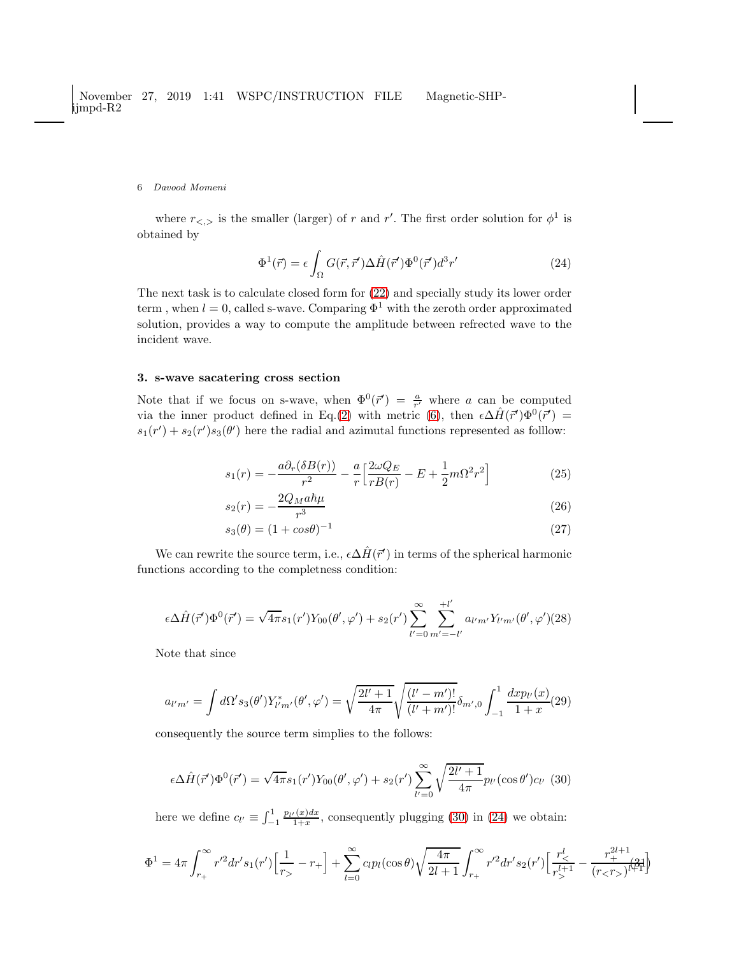where  $r_{\leq,>}$  is the smaller (larger) of r and r'. The first order solution for  $\phi^1$  is obtained by

<span id="page-5-1"></span>
$$
\Phi^1(\vec{r}) = \epsilon \int_{\Omega} G(\vec{r}, \vec{r}') \Delta \hat{H}(\vec{r}') \Phi^0(\vec{r}') d^3 r' \tag{24}
$$

The next task is to calculate closed form for [\(22\)](#page-4-2) and specially study its lower order term, when  $l = 0$ , called s-wave. Comparing  $\Phi^1$  with the zeroth order approximated solution, provides a way to compute the amplitude between refrected wave to the incident wave.

## 3. s-wave sacatering cross section

Note that if we focus on s-wave, when  $\Phi^0(\vec{r}') = \frac{a}{r'}$  where a can be computed via the inner product defined in Eq.[\(2\)](#page-2-2) with metric [\(6\)](#page-2-0), then  $\epsilon \Delta \hat{H}(\vec{r}')\Phi^{0}(\vec{r}') =$  $s_1(r') + s_2(r')s_3(\theta')$  here the radial and azimutal functions represented as follow:

$$
s_1(r) = -\frac{a\partial_r(\delta B(r))}{r^2} - \frac{a}{r} \left[ \frac{2\omega Q_E}{rB(r)} - E + \frac{1}{2}m\Omega^2 r^2 \right] \tag{25}
$$

$$
s_2(r) = -\frac{2Q_M a \hbar \mu}{r^3} \tag{26}
$$

$$
s_3(\theta) = (1 + \cos \theta)^{-1}
$$
 (27)

We can rewrite the source term, i.e.,  $\epsilon \Delta \hat{H}(\vec{r}')$  in terms of the spherical harmonic functions according to the completness condition:

$$
\epsilon \Delta \hat{H}(\vec{r}') \Phi^0(\vec{r}') = \sqrt{4\pi} s_1(r') Y_{00}(\theta', \varphi') + s_2(r') \sum_{l'=0}^{\infty} \sum_{m'=l'}^{l'} a_{l'm'} Y_{l'm'}(\theta', \varphi')(28)
$$

Note that since

$$
a_{l'm'} = \int d\Omega' s_3(\theta') Y_{l'm'}^*(\theta', \varphi') = \sqrt{\frac{2l'+1}{4\pi}} \sqrt{\frac{(l'-m')!}{(l'+m')!}} \delta_{m',0} \int_{-1}^1 \frac{dx p_{l'}(x)}{1+x} (29)
$$

consequently the source term simplies to the follows:

<span id="page-5-0"></span>
$$
\epsilon \Delta \hat{H}(\vec{r}') \Phi^0(\vec{r}') = \sqrt{4\pi} s_1(r') Y_{00}(\theta', \varphi') + s_2(r') \sum_{l'=0}^{\infty} \sqrt{\frac{2l'+1}{4\pi}} p_{l'}(\cos \theta') c_{l'} \tag{30}
$$

here we define  $c_{l'} \equiv \int_{-1}^{1}$  $p_{l'}(x)dx$  $\frac{1+x}{1+x}$ , consequently plugging [\(30\)](#page-5-0) in [\(24\)](#page-5-1) we obtain:

$$
\Phi^1 = 4\pi \int_{r_+}^{\infty} r'^2 dr' s_1(r') \Big[ \frac{1}{r_>} - r_+ \Big] + \sum_{l=0}^{\infty} c_l p_l(\cos \theta) \sqrt{\frac{4\pi}{2l+1}} \int_{r_+}^{\infty} r'^2 dr' s_2(r') \Big[ \frac{r_<^l}{r_>^{l+1}} - \frac{r_+^{2l+1}}{(r_< r_>)^{l+1}} \Big]
$$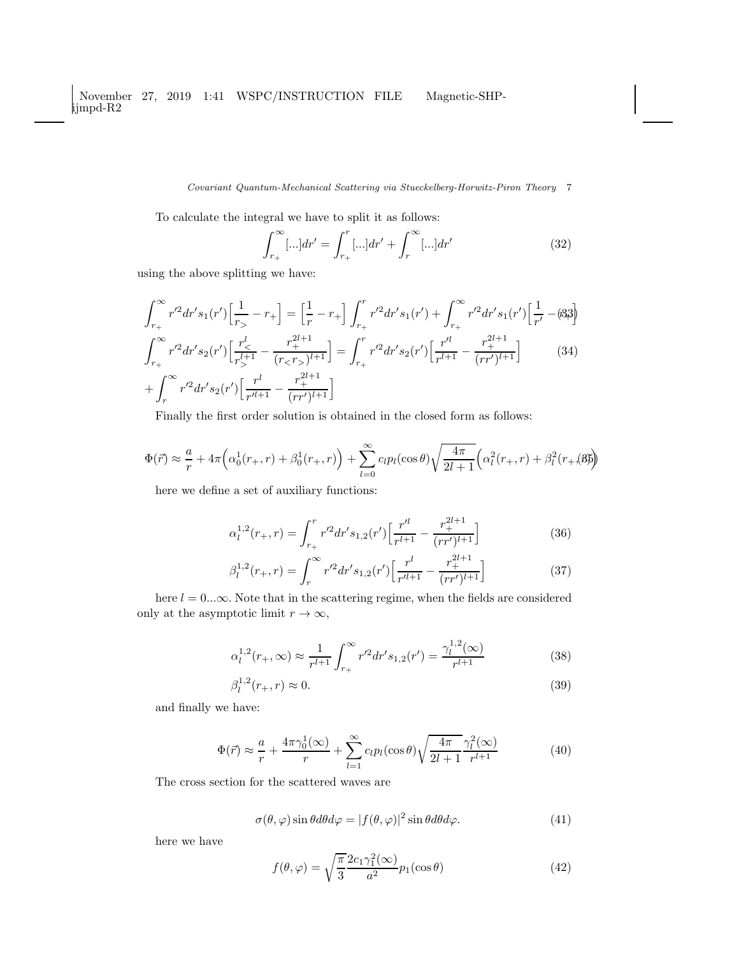Covariant Quantum-Mechanical Scattering via Stueckelberg-Horwitz-Piron Theory 7

To calculate the integral we have to split it as follows:

$$
\int_{r_+}^{\infty} [\ldots] dr' = \int_{r_+}^{r} [\ldots] dr' + \int_{r}^{\infty} [\ldots] dr' \qquad (32)
$$

using the above splitting we have:

$$
\int_{r_{+}}^{\infty} r'^{2} dr' s_{1}(r') \left[ \frac{1}{r_{>}} - r_{+} \right] = \left[ \frac{1}{r} - r_{+} \right] \int_{r_{+}}^{r} r'^{2} dr' s_{1}(r') + \int_{r_{+}}^{\infty} r'^{2} dr' s_{1}(r') \left[ \frac{1}{r'} - (83) \right]
$$

$$
\int_{r_{+}}^{\infty} r'^{2} dr' s_{2}(r') \left[ \frac{r_{<}^{l}}{r_{>}^{l+1}} - \frac{r_{+}^{2l+1}}{(r_{<}r_{>})^{l+1}} \right] = \int_{r_{+}}^{r} r'^{2} dr' s_{2}(r') \left[ \frac{r'^{l}}{r'^{l+1}} - \frac{r_{+}^{2l+1}}{(rr')^{l+1}} \right] \tag{34}
$$

$$
+ \int_{r}^{\infty} r'^{2} dr' s_{2}(r') \left[ \frac{r^{l}}{r'^{l+1}} - \frac{r_{+}^{2l+1}}{(rr')^{l+1}} \right]
$$

Finally the first order solution is obtained in the closed form as follows:

$$
\Phi(\vec{r}) \approx \frac{a}{r} + 4\pi \left(\alpha_0^1(r_+, r) + \beta_0^1(r_+, r)\right) + \sum_{l=0}^{\infty} c_l p_l(\cos \theta) \sqrt{\frac{4\pi}{2l+1}} \left(\alpha_l^2(r_+, r) + \beta_l^2(r_+(\beta))\right)
$$

here we define a set of auxiliary functions:

$$
\alpha_l^{1,2}(r_+,r) = \int_{r_+}^r r'^2 dr' s_{1,2}(r') \left[ \frac{r'^l}{r^{l+1}} - \frac{r_+^{2l+1}}{(rr')^{l+1}} \right] \tag{36}
$$

$$
\beta_l^{1,2}(r_+,r) = \int_r^{\infty} r'^2 dr' s_{1,2}(r') \left[ \frac{r^l}{r'^{l+1}} - \frac{r_+^{2l+1}}{(rr')^{l+1}} \right] \tag{37}
$$

here  $l = 0...\infty$ . Note that in the scattering regime, when the fields are considered only at the asymptotic limit  $r \to \infty$ ,

$$
\alpha_l^{1,2}(r_+,\infty) \approx \frac{1}{r^{l+1}} \int_{r_+}^{\infty} r'^2 dr' s_{1,2}(r') = \frac{\gamma_l^{1,2}(\infty)}{r^{l+1}} \tag{38}
$$

$$
\beta_l^{1,2}(r_+,r) \approx 0. \tag{39}
$$

and finally we have:

$$
\Phi(\vec{r}) \approx \frac{a}{r} + \frac{4\pi\gamma_0^1(\infty)}{r} + \sum_{l=1}^{\infty} c_l p_l(\cos\theta) \sqrt{\frac{4\pi}{2l+1}} \frac{\gamma_l^2(\infty)}{r^{l+1}}
$$
(40)

The cross section for the scattered waves are

$$
\sigma(\theta, \varphi) \sin \theta d\theta d\varphi = |f(\theta, \varphi)|^2 \sin \theta d\theta d\varphi.
$$
 (41)

here we have

$$
f(\theta, \varphi) = \sqrt{\frac{\pi}{3}} \frac{2c_1 \gamma_1^2(\infty)}{a^2} p_1(\cos \theta)
$$
 (42)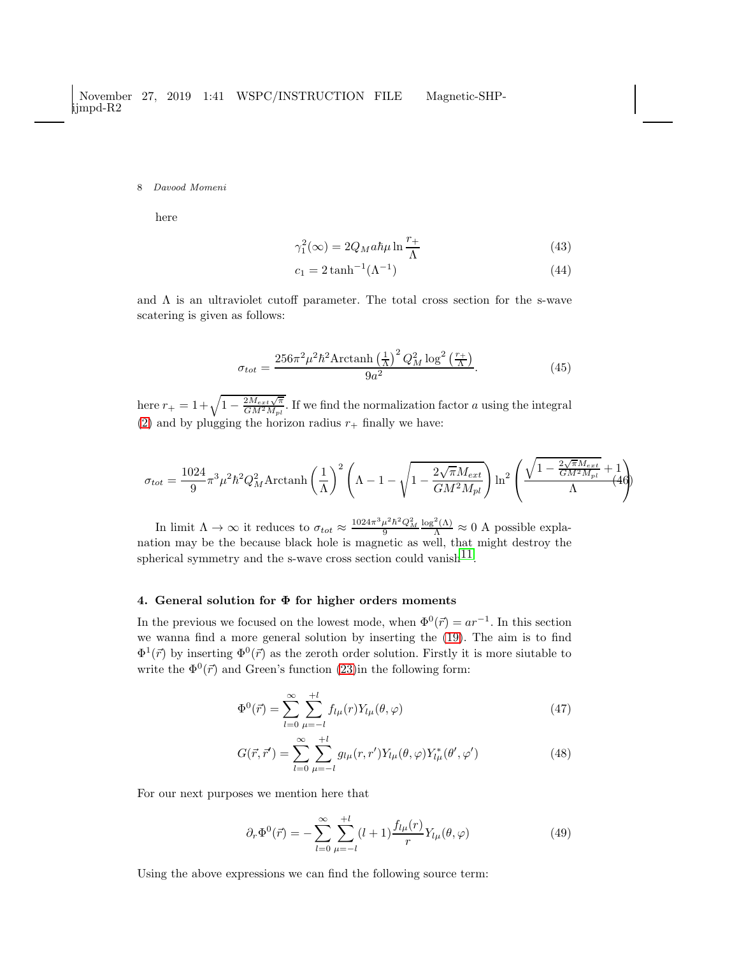here

$$
\gamma_1^2(\infty) = 2Q_M a\hbar\mu \ln\frac{r_+}{\Lambda} \tag{43}
$$

$$
c_1 = 2 \tanh^{-1}(\Lambda^{-1})
$$
\n(44)

and  $\Lambda$  is an ultraviolet cutoff parameter. The total cross section for the s-wave scatering is given as follows:

$$
\sigma_{tot} = \frac{256\pi^2\mu^2\hbar^2\text{Arctanh}\left(\frac{1}{\Lambda}\right)^2Q_M^2\log^2\left(\frac{r_+}{\Lambda}\right)}{9a^2}.\tag{45}
$$

here  $r_+ = 1 + \sqrt{1 - \frac{2M_{ext}\sqrt{\pi}}{GM^2M_{pl}}}$ . If we find the normalization factor a using the integral [\(2\)](#page-2-2) and by plugging the horizon radius  $r_{+}$  finally we have:

$$
\sigma_{tot} = \frac{1024}{9} \pi^3 \mu^2 \hbar^2 Q_M^2 \text{Arctanh}\left(\frac{1}{\Lambda}\right)^2 \left(\Lambda - 1 - \sqrt{1 - \frac{2\sqrt{\pi}M_{ext}}{GM^2M_{pl}}}\right) \ln^2\left(\frac{\sqrt{1 - \frac{2\sqrt{\pi}M_{ext}}{GM^2M_{pl}} + 1}}{\Lambda}\right)
$$

In limit  $\Lambda \to \infty$  it reduces to  $\sigma_{tot} \approx \frac{1024\pi^3 \mu^2 \hbar^2 Q_M^2}{9}$  $\frac{\log^2(\Lambda)}{\Lambda} \approx 0$  A possible explanation may be the because black hole is magnetic as well, that might destroy the spherical symmetry and the s-wave cross section could vanish<sup>11</sup>.

### 4. General solution for  $\Phi$  for higher orders moments

In the previous we focused on the lowest mode, when  $\Phi^0(\vec{r}) = ar^{-1}$ . In this section we wanna find a more general solution by inserting the [\(19\)](#page-4-0). The aim is to find  $\Phi^1(\vec{r})$  by inserting  $\Phi^0(\vec{r})$  as the zeroth order solution. Firstly it is more siutable to write the  $\Phi^0(\vec{r})$  and Green's function [\(23\)](#page-4-3)in the following form:

$$
\Phi^{0}(\vec{r}) = \sum_{l=0}^{\infty} \sum_{\mu=-l}^{+l} f_{l\mu}(r) Y_{l\mu}(\theta, \varphi)
$$
\n(47)

$$
G(\vec{r}, \vec{r}') = \sum_{l=0}^{\infty} \sum_{\mu=-l}^{+l} g_{l\mu}(r, r') Y_{l\mu}(\theta, \varphi) Y_{l\mu}^*(\theta', \varphi')
$$
(48)

For our next purposes we mention here that

$$
\partial_r \Phi^0(\vec{r}) = -\sum_{l=0}^{\infty} \sum_{\mu=-l}^{+l} (l+1) \frac{f_{l\mu}(r)}{r} Y_{l\mu}(\theta, \varphi)
$$
(49)

Using the above expressions we can find the following source term: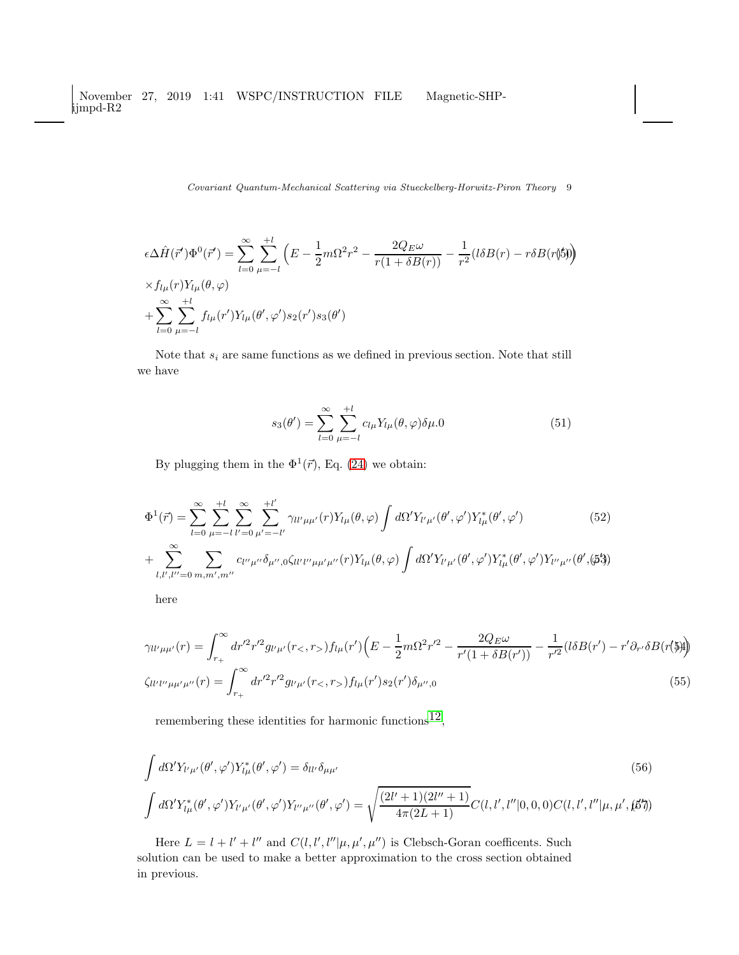November 27, 2019 1:41 WSPC/INSTRUCTION FILE Magnetic-SHPijmpd-R2

Covariant Quantum-Mechanical Scattering via Stueckelberg-Horwitz-Piron Theory 9

$$
\epsilon \Delta \hat{H}(\vec{r}') \Phi^{0}(\vec{r}') = \sum_{l=0}^{\infty} \sum_{\mu=-l}^{+l} \left( E - \frac{1}{2} m \Omega^{2} r^{2} - \frac{2Q_{E}\omega}{r(1 + \delta B(r))} - \frac{1}{r^{2}} (l \delta B(r) - r \delta B(r \delta)) \right) \times f_{l\mu}(r) Y_{l\mu}(\theta, \varphi) + \sum_{l=0}^{\infty} \sum_{\mu=-l}^{+l} f_{l\mu}(r') Y_{l\mu}(\theta', \varphi') s_{2}(r') s_{3}(\theta')
$$

Note that  $s_i$  are same functions as we defined in previous section. Note that still we have

$$
s_3(\theta') = \sum_{l=0}^{\infty} \sum_{\mu=-l}^{+l} c_{l\mu} Y_{l\mu}(\theta, \varphi) \delta \mu.0 \tag{51}
$$

By plugging them in the  $\Phi^1(\vec{r})$ , Eq. [\(24\)](#page-5-1) we obtain:

$$
\Phi^{1}(\vec{r}) = \sum_{l=0}^{\infty} \sum_{\mu=-l}^{+l} \sum_{\nu'=0}^{\infty} \sum_{\mu'=-l'}^{+l'} \gamma_{ll'\mu\mu'}(r) Y_{l\mu}(\theta,\varphi) \int d\Omega' Y_{l'\mu'}(\theta',\varphi') Y_{l\mu}^{*}(\theta',\varphi') \n+ \sum_{l,l',l''=0}^{\infty} \sum_{m,m',m''} c_{l''\mu''} \delta_{\mu'',0} \zeta_{ll'l''\mu'\mu'}(r) Y_{l\mu}(\theta,\varphi) \int d\Omega' Y_{l'\mu'}(\theta',\varphi') Y_{l'\mu}^{*}(\theta',\varphi') Y_{l''\mu''}(\theta',\varphi')
$$
\n(52)

here

$$
\gamma_{ll'\mu\mu'}(r) = \int_{r_+}^{\infty} dr'^2 r'^2 g_{l'\mu'}(r_<, r_>) f_{l\mu}(r') \left( E - \frac{1}{2} m \Omega^2 r'^2 - \frac{2Q_E \omega}{r'(1 + \delta B(r'))} - \frac{1}{r'^2} (l \delta B(r') - r' \partial_{r'} \delta B(r \langle \mathfrak{F} \rangle) \right)
$$
  

$$
\zeta_{ll'l'\mu\mu'\mu''}(r) = \int_{r_+}^{\infty} dr'^2 r'^2 g_{l'\mu'}(r_<, r_>) f_{l\mu}(r') s_2(r') \delta_{\mu'',0}
$$
 (55)

remembering these identities for harmonic functions<sup>12</sup>,

$$
\int d\Omega' Y_{l'\mu'}(\theta', \varphi') Y_{l\mu}^*(\theta', \varphi') = \delta_{ll'} \delta_{\mu\mu'}
$$
\n
$$
\int d\Omega' Y_{l\mu}^*(\theta', \varphi') Y_{l'\mu'}(\theta', \varphi') Y_{l''\mu''}(\theta', \varphi') = \sqrt{\frac{(2l'+1)(2l''+1)}{4\pi(2L+1)}} C(l, l', l''|0, 0, 0) C(l, l', l''|\mu, \mu', \beta')
$$
\n(56)

Here  $L = l + l' + l''$  and  $C(l, l', l'' | \mu, \mu', \mu'')$  is Clebsch-Goran coefficents. Such solution can be used to make a better approximation to the cross section obtained in previous.